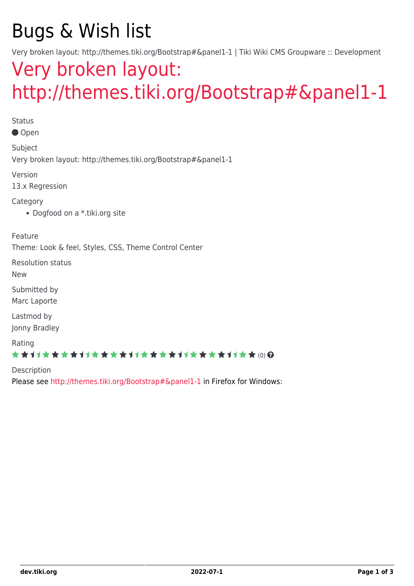# Bugs & Wish list

Very broken layout: http://themes.tiki.org/Bootstrap#&panel1-1 | Tiki Wiki CMS Groupware :: Development

## [Very broken layout:](https://dev.tiki.org/item5441-Very-broken-layout-http-themes-tiki-org-Bootstrap-panel1-1) [http://themes.tiki.org/Bootstrap#&panel1-1](https://dev.tiki.org/item5441-Very-broken-layout-http-themes-tiki-org-Bootstrap-panel1-1)

Status

● Open

Subject Very broken layout: http://themes.tiki.org/Bootstrap#&panel1-1

Version

13.x Regression

Category

Dogfood on a \*.tiki.org site

Feature

Theme: Look & feel, Styles, CSS, Theme Control Center

Resolution status

New

Submitted by Marc Laporte

Lastmod by Jonny Bradley

Rating

★★11★★★★11★★★★11★★★★11★★★★11★★ @@

Description Please see <http://themes.tiki.org/Bootstrap#&panel1-1> in Firefox for Windows: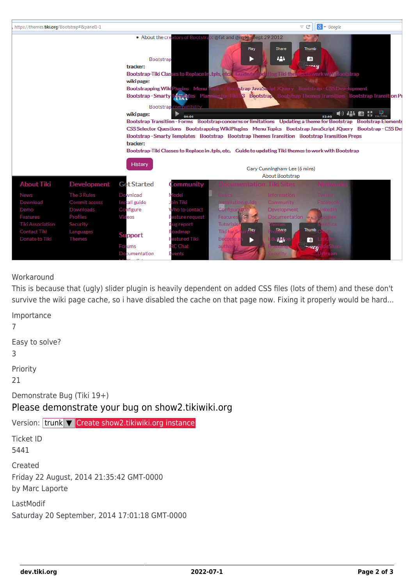

#### Workaround

This is because that (ugly) slider plugin is heavily dependent on added CSS files (lots of them) and these don't survive the wiki page cache, so i have disabled the cache on that page now. Fixing it properly would be hard...

Importance 7 Easy to solve? 3 Priority 21 Demonstrate Bug (Tiki 19+) Please demonstrate your bug on show2.tikiwiki.org Version: trunk ▼ [Create show2.tikiwiki.org instance](#page--1-0) Ticket ID 5441 Created Friday 22 August, 2014 21:35:42 GMT-0000 by Marc Laporte LastModif Saturday 20 September, 2014 17:01:18 GMT-0000